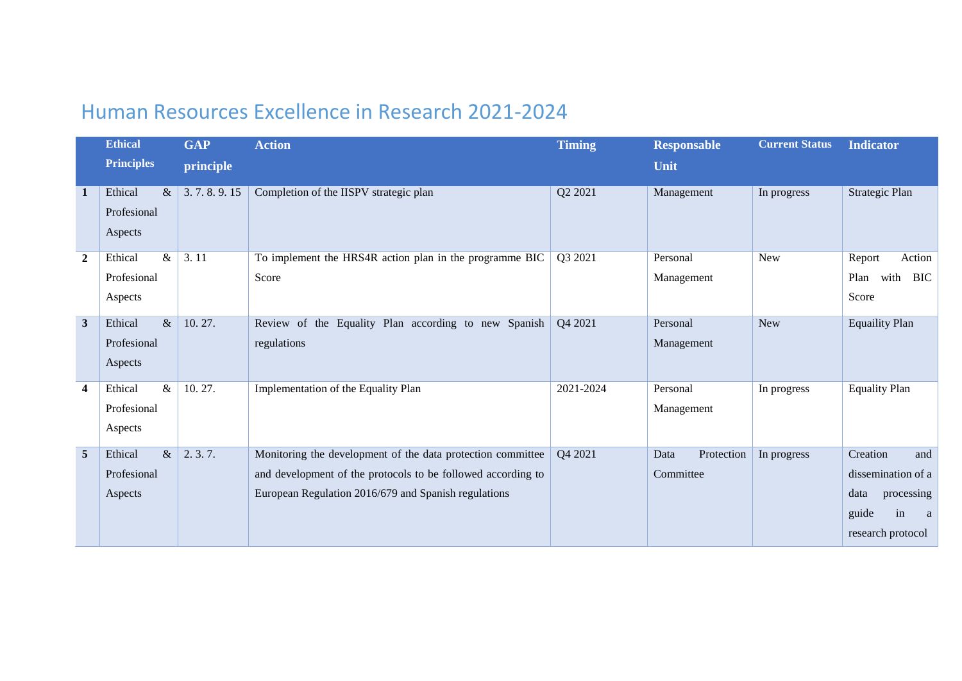## Human Resources Excellence in Research 2021-2024

|                         | <b>Ethical</b>    | <b>GAP</b> | <b>Action</b>                                                | <b>Timing</b> | <b>Responsable</b> | <b>Current Status</b> | <b>Indicator</b>            |
|-------------------------|-------------------|------------|--------------------------------------------------------------|---------------|--------------------|-----------------------|-----------------------------|
|                         | <b>Principles</b> | principle  |                                                              |               | Unit               |                       |                             |
| -1                      | Ethical<br>$\&$   | 3.7.8.9.15 | Completion of the IISPV strategic plan                       | Q2 2021       | Management         | In progress           | Strategic Plan              |
|                         | Profesional       |            |                                                              |               |                    |                       |                             |
|                         | Aspects           |            |                                                              |               |                    |                       |                             |
| $\overline{2}$          | $\&$<br>Ethical   | 3.11       | To implement the HRS4R action plan in the programme BIC      | Q3 2021       | Personal           | New                   | Action<br>Report            |
|                         | Profesional       |            | Score                                                        |               | Management         |                       | <b>BIC</b><br>with<br>Plan  |
|                         | Aspects           |            |                                                              |               |                    |                       | Score                       |
| $\overline{\mathbf{3}}$ | $\&$<br>Ethical   | 10.27.     | Review of the Equality Plan according to new Spanish         | Q4 2021       | Personal           | <b>New</b>            | <b>Equaility Plan</b>       |
|                         | Profesional       |            | regulations                                                  |               | Management         |                       |                             |
|                         | Aspects           |            |                                                              |               |                    |                       |                             |
| $\overline{\mathbf{4}}$ | Ethical<br>$\&$   | 10.27.     | Implementation of the Equality Plan                          | 2021-2024     | Personal           | In progress           | <b>Equality Plan</b>        |
|                         | Profesional       |            |                                                              |               | Management         |                       |                             |
|                         | Aspects           |            |                                                              |               |                    |                       |                             |
| 5                       | $\&$<br>Ethical   | 2.3.7.     | Monitoring the development of the data protection committee  | Q4 2021       | Protection<br>Data | In progress           | Creation<br>and             |
|                         | Profesional       |            | and development of the protocols to be followed according to |               | Committee          |                       | dissemination of a          |
|                         | Aspects           |            | European Regulation 2016/679 and Spanish regulations         |               |                    |                       | data<br>processing          |
|                         |                   |            |                                                              |               |                    |                       | guide<br>in<br><sub>a</sub> |
|                         |                   |            |                                                              |               |                    |                       | research protocol           |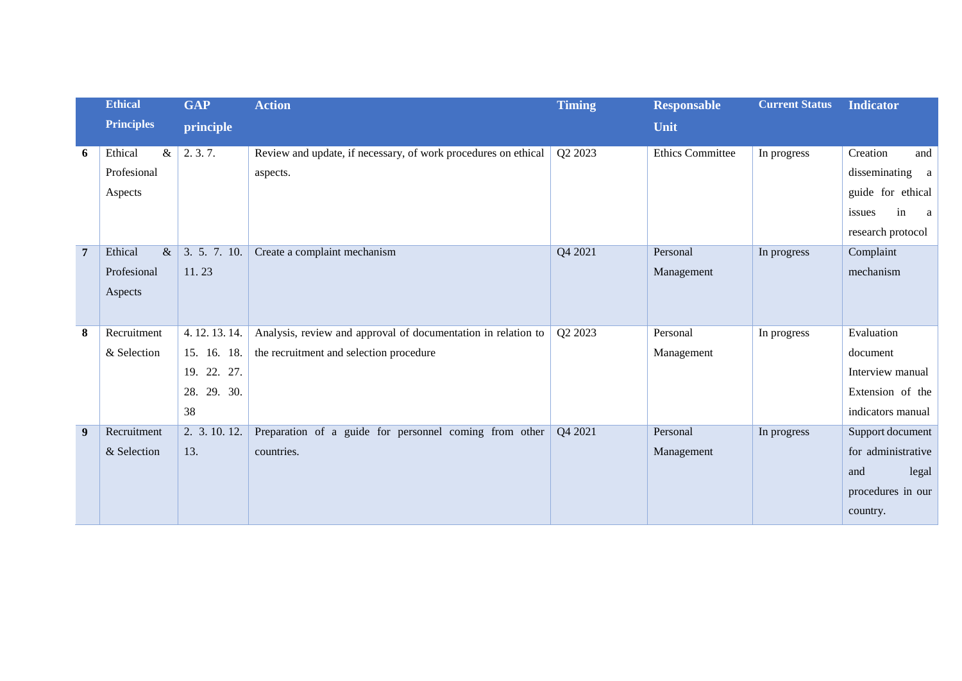|                | <b>Ethical</b>    | <b>GAP</b>    | <b>Action</b>                                                  | <b>Timing</b> | <b>Responsable</b>      | <b>Current Status</b> | <b>Indicator</b>             |
|----------------|-------------------|---------------|----------------------------------------------------------------|---------------|-------------------------|-----------------------|------------------------------|
|                | <b>Principles</b> | principle     |                                                                |               | Unit                    |                       |                              |
| 6              | Ethical<br>$\&$   | 2.3.7.        | Review and update, if necessary, of work procedures on ethical | Q2 2023       | <b>Ethics Committee</b> | In progress           | Creation<br>and              |
|                | Profesional       |               | aspects.                                                       |               |                         |                       | disseminating a              |
|                | Aspects           |               |                                                                |               |                         |                       | guide for ethical            |
|                |                   |               |                                                                |               |                         |                       | in<br>issues<br><sub>a</sub> |
|                |                   |               |                                                                |               |                         |                       | research protocol            |
| $\overline{7}$ | Ethical<br>$\&$   | 3. 5. 7. 10.  | Create a complaint mechanism                                   | Q4 2021       | Personal                | In progress           | Complaint                    |
|                | Profesional       | 11.23         |                                                                |               | Management              |                       | mechanism                    |
|                | Aspects           |               |                                                                |               |                         |                       |                              |
|                |                   |               |                                                                |               |                         |                       |                              |
| 8              | Recruitment       | 4.12.13.14.   | Analysis, review and approval of documentation in relation to  | Q2 2023       | Personal                | In progress           | Evaluation                   |
|                | & Selection       | 15. 16. 18.   | the recruitment and selection procedure                        |               | Management              |                       | document                     |
|                |                   | 19. 22. 27.   |                                                                |               |                         |                       | Interview manual             |
|                |                   | 28. 29. 30.   |                                                                |               |                         |                       | Extension of the             |
|                |                   | 38            |                                                                |               |                         |                       | indicators manual            |
| 9              | Recruitment       | 2. 3. 10. 12. | Preparation of a guide for personnel coming from other         | Q4 2021       | Personal                | In progress           | Support document             |
|                | & Selection       | 13.           | countries.                                                     |               | Management              |                       | for administrative           |
|                |                   |               |                                                                |               |                         |                       | and<br>legal                 |
|                |                   |               |                                                                |               |                         |                       | procedures in our            |
|                |                   |               |                                                                |               |                         |                       | country.                     |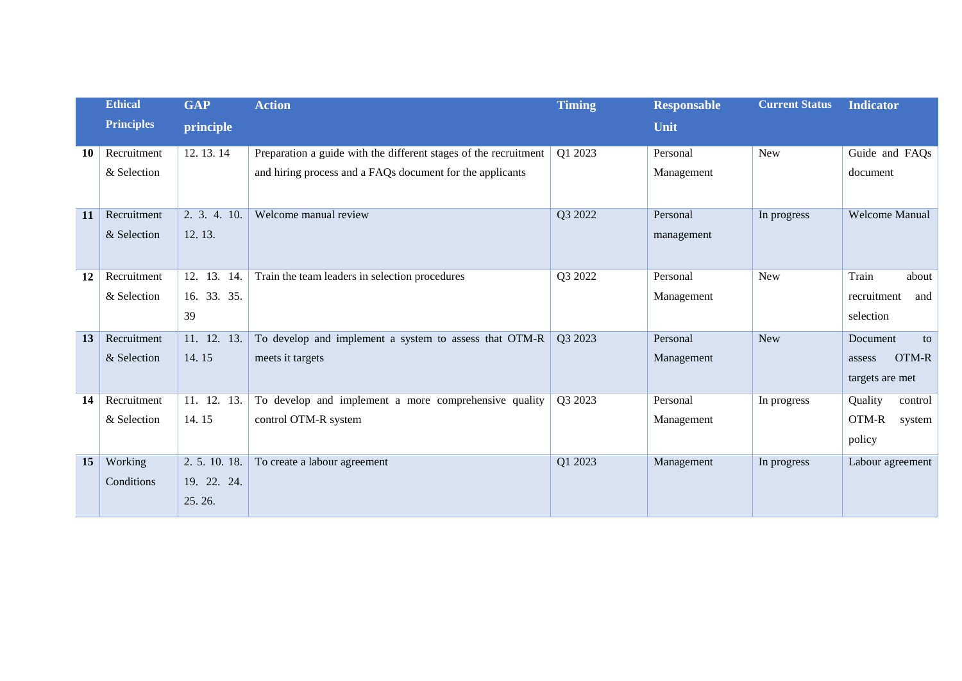|    | <b>Ethical</b>    | <b>GAP</b>    | <b>Action</b>                                                    | <b>Timing</b> | <b>Responsable</b> | <b>Current Status</b> | <b>Indicator</b>      |
|----|-------------------|---------------|------------------------------------------------------------------|---------------|--------------------|-----------------------|-----------------------|
|    | <b>Principles</b> | principle     |                                                                  |               | Unit               |                       |                       |
| 10 | Recruitment       | 12.13.14      | Preparation a guide with the different stages of the recruitment | Q1 2023       | Personal           | <b>New</b>            | Guide and FAQs        |
|    | & Selection       |               | and hiring process and a FAQs document for the applicants        |               | Management         |                       | document              |
| 11 | Recruitment       | 2. 3. 4. 10.  | Welcome manual review                                            | Q3 2022       | Personal           | In progress           | <b>Welcome Manual</b> |
|    | & Selection       | 12.13.        |                                                                  |               | management         |                       |                       |
| 12 | Recruitment       | 12. 13. 14.   | Train the team leaders in selection procedures                   | Q3 2022       | Personal           | <b>New</b>            | Train<br>about        |
|    | & Selection       | 16. 33. 35.   |                                                                  |               | Management         |                       | recruitment<br>and    |
|    |                   | 39            |                                                                  |               |                    |                       | selection             |
| 13 | Recruitment       | 11. 12. 13.   | To develop and implement a system to assess that OTM-R           | Q3 2023       | Personal           | <b>New</b>            | Document<br>to        |
|    | & Selection       | 14.15         | meets it targets                                                 |               | Management         |                       | OTM-R<br>assess       |
|    |                   |               |                                                                  |               |                    |                       | targets are met       |
| 14 | Recruitment       | 11. 12. 13.   | To develop and implement a more comprehensive quality            | Q3 2023       | Personal           | In progress           | Quality<br>control    |
|    | & Selection       | 14.15         | control OTM-R system                                             |               | Management         |                       | OTM-R<br>system       |
|    |                   |               |                                                                  |               |                    |                       | policy                |
| 15 | Working           | 2. 5. 10. 18. | To create a labour agreement                                     | Q1 2023       | Management         | In progress           | Labour agreement      |
|    | Conditions        | 19. 22. 24.   |                                                                  |               |                    |                       |                       |
|    |                   | 25.26.        |                                                                  |               |                    |                       |                       |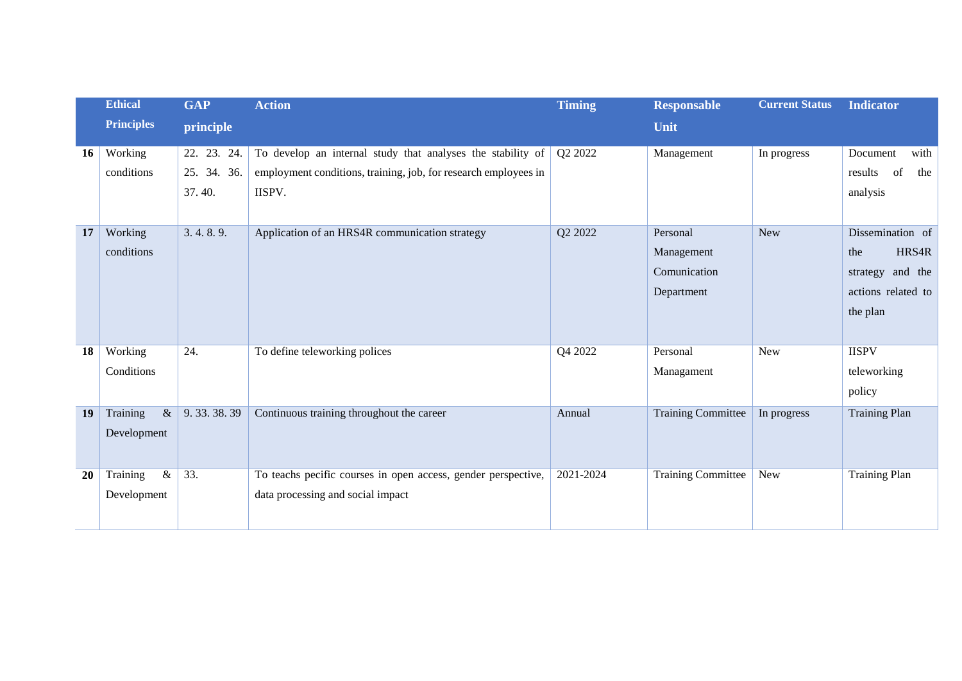|           | <b>Ethical</b>    | <b>GAP</b>  | <b>Action</b>                                                   | <b>Timing</b> | <b>Responsable</b>        | <b>Current Status</b> | <b>Indicator</b>     |
|-----------|-------------------|-------------|-----------------------------------------------------------------|---------------|---------------------------|-----------------------|----------------------|
|           | <b>Principles</b> | principle   |                                                                 |               | Unit                      |                       |                      |
| <b>16</b> | Working           | 22. 23. 24. | To develop an internal study that analyses the stability of     | Q2 2022       | Management                | In progress           | Document<br>with     |
|           | conditions        | 25. 34. 36. | employment conditions, training, job, for research employees in |               |                           |                       | of<br>results<br>the |
|           |                   | 37.40.      | IISPV.                                                          |               |                           |                       | analysis             |
|           |                   |             |                                                                 |               |                           |                       |                      |
| 17        | Working           | 3.4.8.9.    | Application of an HRS4R communication strategy                  | Q2 2022       | Personal                  | <b>New</b>            | Dissemination of     |
|           | conditions        |             |                                                                 |               | Management                |                       | HRS4R<br>the         |
|           |                   |             |                                                                 |               | Comunication              |                       | and the<br>strategy  |
|           |                   |             |                                                                 |               | Department                |                       | actions related to   |
|           |                   |             |                                                                 |               |                           |                       | the plan             |
|           |                   |             |                                                                 |               |                           |                       |                      |
| 18        | Working           | 24.         | To define teleworking polices                                   | Q4 2022       | Personal                  | New                   | <b>IISPV</b>         |
|           | Conditions        |             |                                                                 |               | Managament                |                       | teleworking          |
|           |                   |             |                                                                 |               |                           |                       | policy               |
| 19        | Training<br>$\&$  | 9.33.38.39  | Continuous training throughout the career                       | Annual        | <b>Training Committee</b> | In progress           | <b>Training Plan</b> |
|           | Development       |             |                                                                 |               |                           |                       |                      |
|           |                   |             |                                                                 |               |                           |                       |                      |
| 20        | $\&$<br>Training  | 33.         | To teachs pecific courses in open access, gender perspective,   | 2021-2024     | <b>Training Committee</b> | New                   | <b>Training Plan</b> |
|           | Development       |             | data processing and social impact                               |               |                           |                       |                      |
|           |                   |             |                                                                 |               |                           |                       |                      |
|           |                   |             |                                                                 |               |                           |                       |                      |